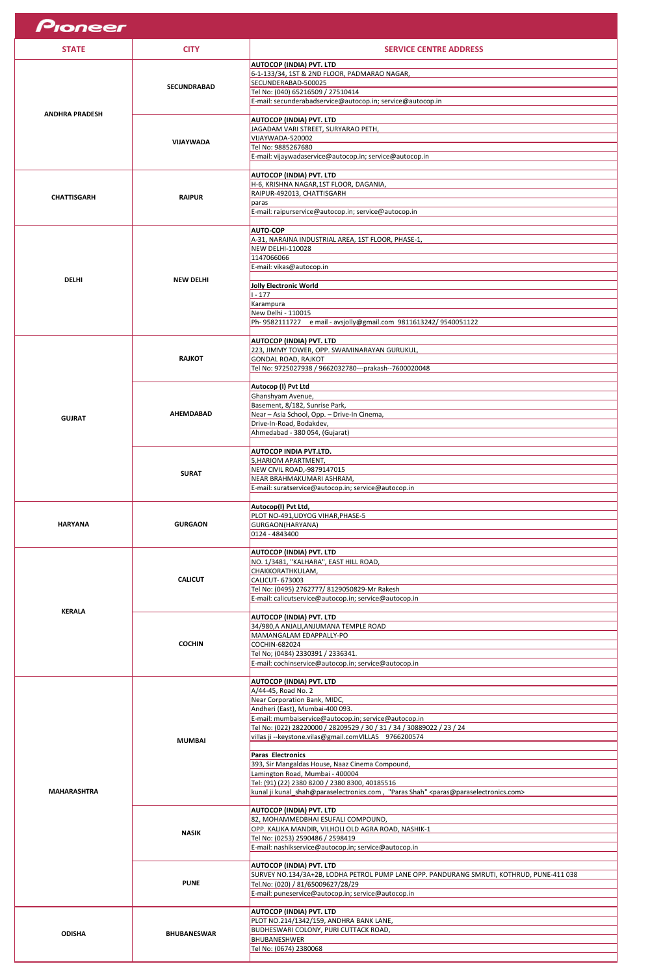| Pioneer               |                    |                                                                                                 |
|-----------------------|--------------------|-------------------------------------------------------------------------------------------------|
| <b>STATE</b>          | <b>CITY</b>        | <b>SERVICE CENTRE ADDRESS</b>                                                                   |
|                       |                    | <b>AUTOCOP (INDIA) PVT. LTD</b>                                                                 |
|                       |                    | 6-1-133/34, 1ST & 2ND FLOOR, PADMARAO NAGAR,                                                    |
|                       | <b>SECUNDRABAD</b> | SECUNDERABAD-500025                                                                             |
|                       |                    | Tel No: (040) 65216509 / 27510414<br>E-mail: secunderabadservice@autocop.in; service@autocop.in |
|                       |                    |                                                                                                 |
| <b>ANDHRA PRADESH</b> |                    | <b>AUTOCOP (INDIA) PVT. LTD</b>                                                                 |
|                       |                    | JAGADAM VARI STREET, SURYARAO PETH,                                                             |
|                       | <b>VIJAYWADA</b>   | VIJAYWADA-520002                                                                                |
|                       |                    | Tel No: 9885267680                                                                              |
|                       |                    | E-mail: vijaywadaservice@autocop.in; service@autocop.in                                         |
|                       |                    | <b>AUTOCOP (INDIA) PVT. LTD</b>                                                                 |
|                       |                    | H-6, KRISHNA NAGAR, 1ST FLOOR, DAGANIA,                                                         |
| <b>CHATTISGARH</b>    | <b>RAIPUR</b>      | RAIPUR-492013, CHATTISGARH                                                                      |
|                       |                    | paras                                                                                           |
|                       |                    | E-mail: raipurservice@autocop.in; service@autocop.in                                            |
|                       |                    | <b>AUTO-COP</b>                                                                                 |
|                       |                    | A-31, NARAINA INDUSTRIAL AREA, 1ST FLOOR, PHASE-1,                                              |
|                       |                    | NEW DELHI-110028                                                                                |
|                       |                    | 1147066066                                                                                      |
|                       |                    | E-mail: vikas@autocop.in                                                                        |
| <b>DELHI</b>          | <b>NEW DELHI</b>   |                                                                                                 |
|                       |                    | Jolly Electronic World<br>$1 - 177$                                                             |
|                       |                    | Karampura                                                                                       |
|                       |                    | New Delhi - 110015                                                                              |
|                       |                    | Ph-9582111727 e mail - avsjolly@gmail.com 9811613242/9540051122                                 |
|                       |                    |                                                                                                 |
|                       |                    | <b>AUTOCOP (INDIA) PVT. LTD</b><br>223, JIMMY TOWER, OPP. SWAMINARAYAN GURUKUL,                 |
|                       | <b>RAJKOT</b>      | GONDAL ROAD, RAJKOT                                                                             |
|                       |                    | Tel No: 9725027938 / 9662032780---prakash--7600020048                                           |
|                       |                    |                                                                                                 |
|                       |                    | Autocop (I) Pvt Ltd                                                                             |
|                       |                    | Ghanshyam Avenue,<br>Basement, 8/182, Sunrise Park,                                             |
|                       | <b>AHEMDABAD</b>   | Near - Asia School, Opp. - Drive-In Cinema,                                                     |
| <b>GUJRAT</b>         |                    | Drive-In-Road, Bodakdev,                                                                        |
|                       |                    | Ahmedabad - 380 054, (Gujarat)                                                                  |
|                       |                    |                                                                                                 |
|                       |                    | <b>AUTOCOP INDIA PVT.LTD.</b><br>5, HARIOM APARTMENT,                                           |
|                       |                    | <b>NEW CIVIL ROAD,-9879147015</b>                                                               |
|                       | <b>SURAT</b>       | NEAR BRAHMAKUMARI ASHRAM,                                                                       |
|                       |                    | E-mail: suratservice@autocop.in; service@autocop.in                                             |
|                       |                    |                                                                                                 |
|                       |                    | Autocop(I) Pvt Ltd,<br>PLOT NO-491, UDYOG VIHAR, PHASE-5                                        |
| <b>HARYANA</b>        | <b>GURGAON</b>     | GURGAON(HARYANA)                                                                                |
|                       |                    | 0124 - 4843400                                                                                  |
|                       |                    |                                                                                                 |
|                       |                    | <b>AUTOCOP (INDIA) PVT. LTD</b>                                                                 |
|                       |                    | NO. 1/3481, "KALHARA", EAST HILL ROAD,                                                          |
|                       | <b>CALICUT</b>     | CHAKKORATHKULAM,<br><b>CALICUT-673003</b>                                                       |
|                       |                    | Tel No: (0495) 2762777/ 8129050829-Mr Rakesh                                                    |
|                       |                    | E-mail: calicutservice@autocop.in; service@autocop.in                                           |
| <b>KERALA</b>         |                    |                                                                                                 |
|                       |                    | <b>AUTOCOP (INDIA) PVT. LTD</b>                                                                 |
|                       |                    | 34/980,A ANJALI,ANJUMANA TEMPLE ROAD<br>MAMANGALAM EDAPPALLY-PO                                 |
|                       | <b>COCHIN</b>      | <b>COCHIN-682024</b>                                                                            |
|                       |                    | Tel No; (0484) 2330391 / 2336341.                                                               |
|                       |                    | E-mail: cochinservice@autocop.in; service@autocop.in                                            |

|                    |                    | <b>AUTOCOP (INDIA) PVT. LTD</b>                                                                                  |
|--------------------|--------------------|------------------------------------------------------------------------------------------------------------------|
|                    |                    | A/44-45, Road No. 2                                                                                              |
|                    |                    | Near Corporation Bank, MIDC,                                                                                     |
|                    |                    | Andheri (East), Mumbai-400 093.                                                                                  |
|                    |                    | E-mail: mumbaiservice@autocop.in; service@autocop.in                                                             |
|                    |                    | Tel No: (022) 28220000 / 28209529 / 30 / 31 / 34 / 30889022 / 23 / 24                                            |
|                    | <b>MUMBAI</b>      | villas ji -- keystone. vilas@gmail.com VILLAS 9766200574                                                         |
|                    |                    |                                                                                                                  |
|                    |                    | <b>Paras Electronics</b>                                                                                         |
|                    |                    | 393, Sir Mangaldas House, Naaz Cinema Compound,                                                                  |
|                    |                    | Lamington Road, Mumbai - 400004                                                                                  |
|                    |                    | Tel: (91) (22) 2380 8200 / 2380 8300, 40185516                                                                   |
| <b>MAHARASHTRA</b> |                    | kunal ji kunal_shah@paraselectronics.com, "Paras Shah" <paras@paraselectronics.com></paras@paraselectronics.com> |
|                    |                    |                                                                                                                  |
|                    | <b>NASIK</b>       | <b>AUTOCOP (INDIA) PVT. LTD</b>                                                                                  |
|                    |                    | 82, MOHAMMEDBHAI ESUFALI COMPOUND,                                                                               |
|                    |                    | OPP. KALIKA MANDIR, VILHOLI OLD AGRA ROAD, NASHIK-1                                                              |
|                    |                    | Tel No: (0253) 2590486 / 2598419                                                                                 |
|                    |                    | E-mail: nashikservice@autocop.in; service@autocop.in                                                             |
|                    |                    |                                                                                                                  |
|                    |                    | <b>AUTOCOP (INDIA) PVT. LTD</b>                                                                                  |
|                    |                    | SURVEY NO.134/3A+2B, LODHA PETROL PUMP LANE OPP. PANDURANG SMRUTI, KOTHRUD, PUNE-411 038                         |
|                    | <b>PUNE</b>        | Tel.No: (020) / 81/65009627/28/29                                                                                |
|                    |                    | E-mail: puneservice@autocop.in; service@autocop.in                                                               |
|                    |                    |                                                                                                                  |
|                    |                    | <b>AUTOCOP (INDIA) PVT. LTD</b>                                                                                  |
|                    |                    | PLOT NO.214/1342/159, ANDHRA BANK LANE,                                                                          |
| <b>ODISHA</b>      | <b>BHUBANESWAR</b> | <b>BUDHESWARI COLONY, PURI CUTTACK ROAD,</b>                                                                     |
|                    |                    | <b>BHUBANESHWER</b>                                                                                              |
|                    |                    | Tel No: (0674) 2380068                                                                                           |
|                    |                    |                                                                                                                  |